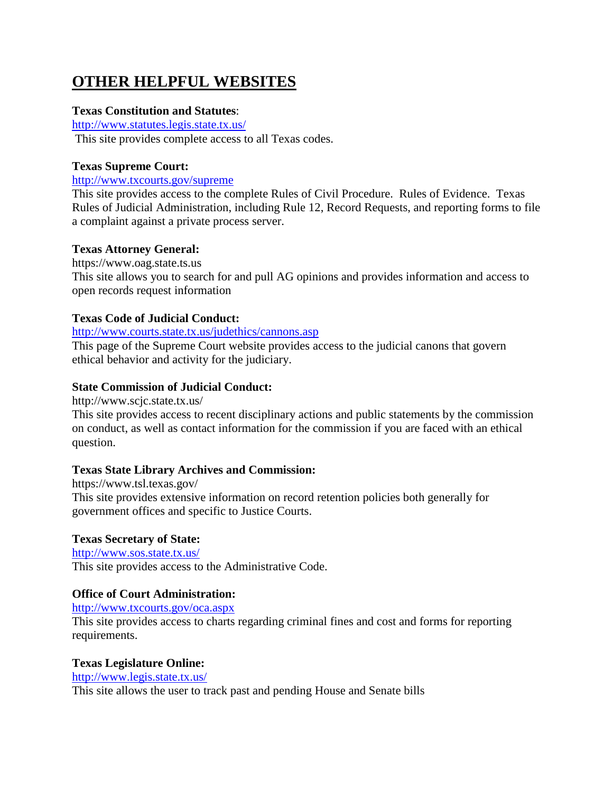# **OTHER HELPFUL WEBSITES**

# **Texas Constitution and Statutes**:

<http://www.statutes.legis.state.tx.us/> This site provides complete access to all Texas codes.

# **Texas Supreme Court:**

# <http://www.txcourts.gov/supreme>

This site provides access to the complete Rules of Civil Procedure. Rules of Evidence. Texas Rules of Judicial Administration, including Rule 12, Record Requests, and reporting forms to file a complaint against a private process server.

## **Texas Attorney General:**

https://www.oag.state.ts.us This site allows you to search for and pull AG opinions and provides information and access to open records request information

# **Texas Code of Judicial Conduct:**

#### <http://www.courts.state.tx.us/judethics/cannons.asp>

This page of the Supreme Court website provides access to the judicial canons that govern ethical behavior and activity for the judiciary.

## **State Commission of Judicial Conduct:**

http://www.scjc.state.tx.us/

This site provides access to recent disciplinary actions and public statements by the commission on conduct, as well as contact information for the commission if you are faced with an ethical question.

# **Texas State Library Archives and Commission:**

https://www.tsl.texas.gov/ This site provides extensive information on record retention policies both generally for government offices and specific to Justice Courts.

#### **Texas Secretary of State:**

<http://www.sos.state.tx.us/> This site provides access to the Administrative Code.

# **Office of Court Administration:**

<http://www.txcourts.gov/oca.aspx>

This site provides access to charts regarding criminal fines and cost and forms for reporting requirements.

#### **Texas Legislature Online:**

#### <http://www.legis.state.tx.us/>

This site allows the user to track past and pending House and Senate bills